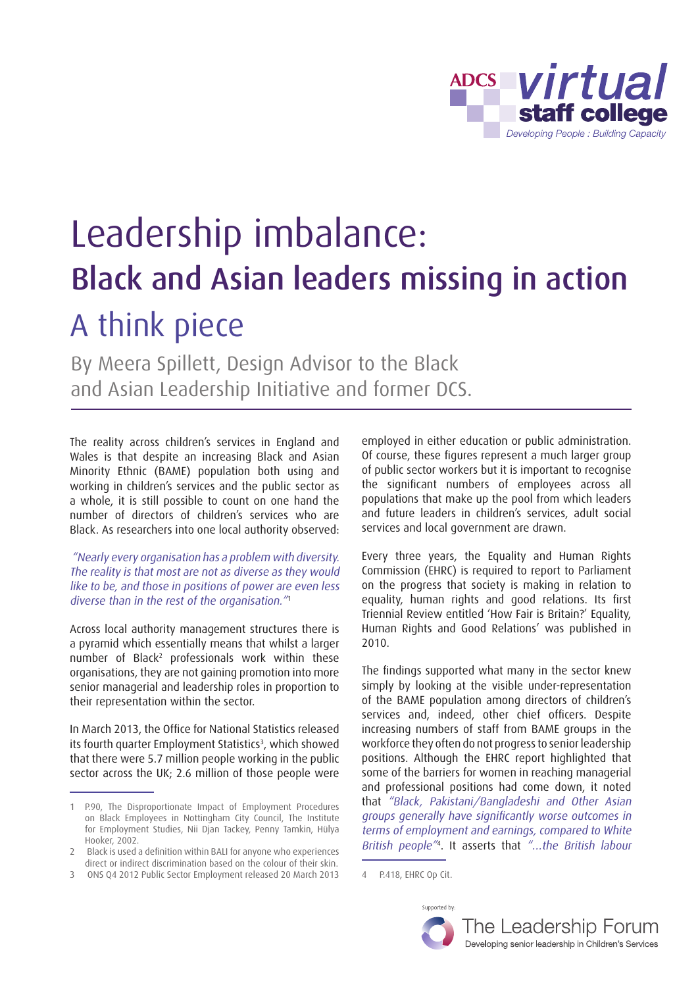

# Leadership imbalance: Black and Asian leaders missing in action A think piece

By Meera Spillett, Design Advisor to the Black and Asian Leadership Initiative and former DCS.

The reality across children's services in England and Wales is that despite an increasing Black and Asian Minority Ethnic (BAME) population both using and working in children's services and the public sector as a whole, it is still possible to count on one hand the number of directors of children's services who are Black. As researchers into one local authority observed:

"Nearly every organisation has a problem with diversity. The reality is that most are not as diverse as they would like to be, and those in positions of power are even less diverse than in the rest of the organisation."<sup>1</sup>

Across local authority management structures there is a pyramid which essentially means that whilst a larger number of Black2 professionals work within these organisations, they are not gaining promotion into more senior managerial and leadership roles in proportion to their representation within the sector.

In March 2013, the Office for National Statistics released its fourth quarter Employment Statistics<sup>3</sup>, which showed that there were 5.7 million people working in the public sector across the UK; 2.6 million of those people were

employed in either education or public administration. Of course, these figures represent a much larger group of public sector workers but it is important to recognise the significant numbers of employees across all populations that make up the pool from which leaders and future leaders in children's services, adult social services and local government are drawn.

Every three years, the Equality and Human Rights Commission (EHRC) is required to report to Parliament on the progress that society is making in relation to equality, human rights and good relations. Its first Triennial Review entitled 'How Fair is Britain?' Equality, Human Rights and Good Relations' was published in 2010.

The findings supported what many in the sector knew simply by looking at the visible under-representation of the BAME population among directors of children's services and, indeed, other chief officers. Despite increasing numbers of staff from BAME groups in the workforce they often do not progress to senior leadership positions. Although the EHRC report highlighted that some of the barriers for women in reaching managerial and professional positions had come down, it noted that "Black, Pakistani/Bangladeshi and Other Asian groups generally have significantly worse outcomes in terms of employment and earnings, compared to White British people"<sup>4</sup> . It asserts that "…the British labour

<sup>4</sup> P.418, EHRC Op Cit.



<sup>1</sup> P.90, The Disproportionate Impact of Employment Procedures on Black Employees in Nottingham City Council, The Institute for Employment Studies, Nii Djan Tackey, Penny Tamkin, Hülya Hooker, 2002.

<sup>2</sup> Black is used a definition within BALI for anyone who experiences direct or indirect discrimination based on the colour of their skin.

<sup>3</sup> ONS Q4 2012 Public Sector Employment released 20 March 2013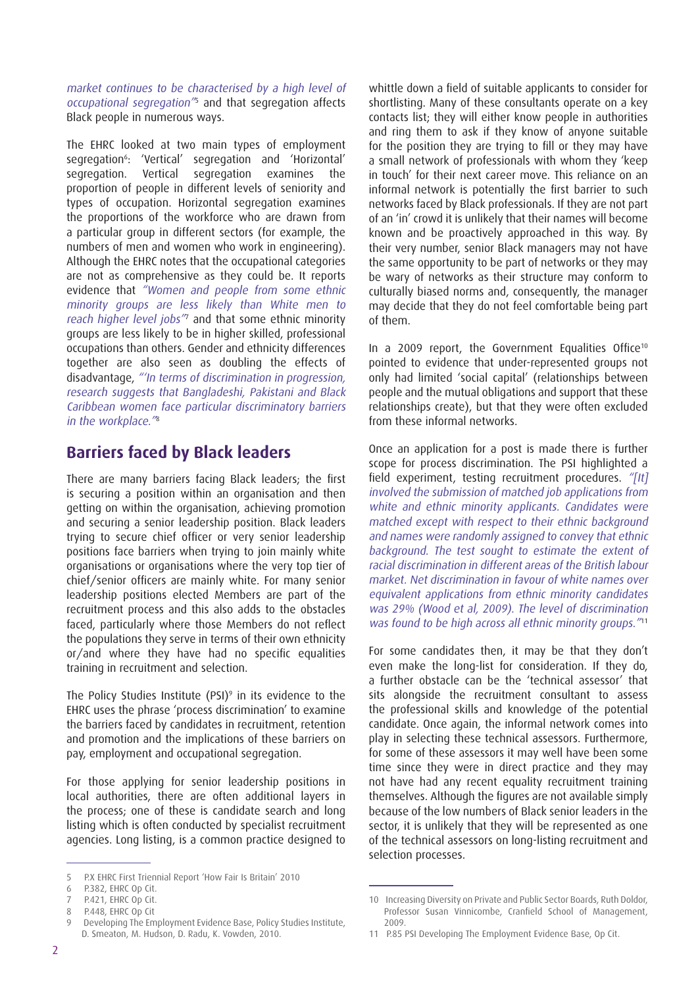market continues to be characterised by a high level of occupational segregation<sup>15</sup> and that segregation affects Black people in numerous ways.

The EHRC looked at two main types of employment segregation6 : 'Vertical' segregation and 'Horizontal' segregation. Vertical segregation examines the proportion of people in different levels of seniority and types of occupation. Horizontal segregation examines the proportions of the workforce who are drawn from a particular group in different sectors (for example, the numbers of men and women who work in engineering). Although the EHRC notes that the occupational categories are not as comprehensive as they could be. It reports evidence that "Women and people from some ethnic minority groups are less likely than White men to reach higher level jobs"<sup>7</sup> and that some ethnic minority groups are less likely to be in higher skilled, professional occupations than others. Gender and ethnicity differences together are also seen as doubling the effects of disadvantage, "'In terms of discrimination in progression, research suggests that Bangladeshi, Pakistani and Black Caribbean women face particular discriminatory barriers in the workplace."<sup>8</sup>

## **Barriers faced by Black leaders**

There are many barriers facing Black leaders; the first is securing a position within an organisation and then getting on within the organisation, achieving promotion and securing a senior leadership position. Black leaders trying to secure chief officer or very senior leadership positions face barriers when trying to join mainly white organisations or organisations where the very top tier of chief/senior officers are mainly white. For many senior leadership positions elected Members are part of the recruitment process and this also adds to the obstacles faced, particularly where those Members do not reflect the populations they serve in terms of their own ethnicity or/and where they have had no specific equalities training in recruitment and selection.

The Policy Studies Institute (PSI) $^{\circ}$  in its evidence to the EHRC uses the phrase 'process discrimination' to examine the barriers faced by candidates in recruitment, retention and promotion and the implications of these barriers on pay, employment and occupational segregation.

For those applying for senior leadership positions in local authorities, there are often additional layers in the process; one of these is candidate search and long listing which is often conducted by specialist recruitment agencies. Long listing, is a common practice designed to whittle down a field of suitable applicants to consider for shortlisting. Many of these consultants operate on a key contacts list; they will either know people in authorities and ring them to ask if they know of anyone suitable for the position they are trying to fill or they may have a small network of professionals with whom they 'keep in touch' for their next career move. This reliance on an informal network is potentially the first barrier to such networks faced by Black professionals. If they are not part of an 'in' crowd it is unlikely that their names will become known and be proactively approached in this way. By their very number, senior Black managers may not have the same opportunity to be part of networks or they may be wary of networks as their structure may conform to culturally biased norms and, consequently, the manager may decide that they do not feel comfortable being part of them.

In a 2009 report, the Government Equalities Office<sup>10</sup> pointed to evidence that under-represented groups not only had limited 'social capital' (relationships between people and the mutual obligations and support that these relationships create), but that they were often excluded from these informal networks.

Once an application for a post is made there is further scope for process discrimination. The PSI highlighted a field experiment, testing recruitment procedures. "[It] involved the submission of matched job applications from white and ethnic minority applicants. Candidates were matched except with respect to their ethnic background and names were randomly assigned to convey that ethnic background. The test sought to estimate the extent of racial discrimination in different areas of the British labour market. Net discrimination in favour of white names over equivalent applications from ethnic minority candidates was 29% (Wood et al, 2009). The level of discrimination was found to be high across all ethnic minority groups."<sup>11</sup>

For some candidates then, it may be that they don't even make the long-list for consideration. If they do, a further obstacle can be the 'technical assessor' that sits alongside the recruitment consultant to assess the professional skills and knowledge of the potential candidate. Once again, the informal network comes into play in selecting these technical assessors. Furthermore, for some of these assessors it may well have been some time since they were in direct practice and they may not have had any recent equality recruitment training themselves. Although the figures are not available simply because of the low numbers of Black senior leaders in the sector, it is unlikely that they will be represented as one of the technical assessors on long-listing recruitment and selection processes.

<sup>5</sup> P.X EHRC First Triennial Report 'How Fair Is Britain' 2010

<sup>6</sup> P.382, EHRC Op Cit.

<sup>7</sup> P.421, EHRC Op Cit.

<sup>8</sup> P.448, EHRC Op Cit

Developing The Employment Evidence Base, Policy Studies Institute. D. Smeaton, M. Hudson, D. Radu, K. Vowden, 2010.

<sup>10</sup> Increasing Diversity on Private and Public Sector Boards, Ruth Doldor, Professor Susan Vinnicombe, Cranfield School of Management, 2009.

<sup>11</sup> P.85 PSI Developing The Employment Evidence Base, Op Cit.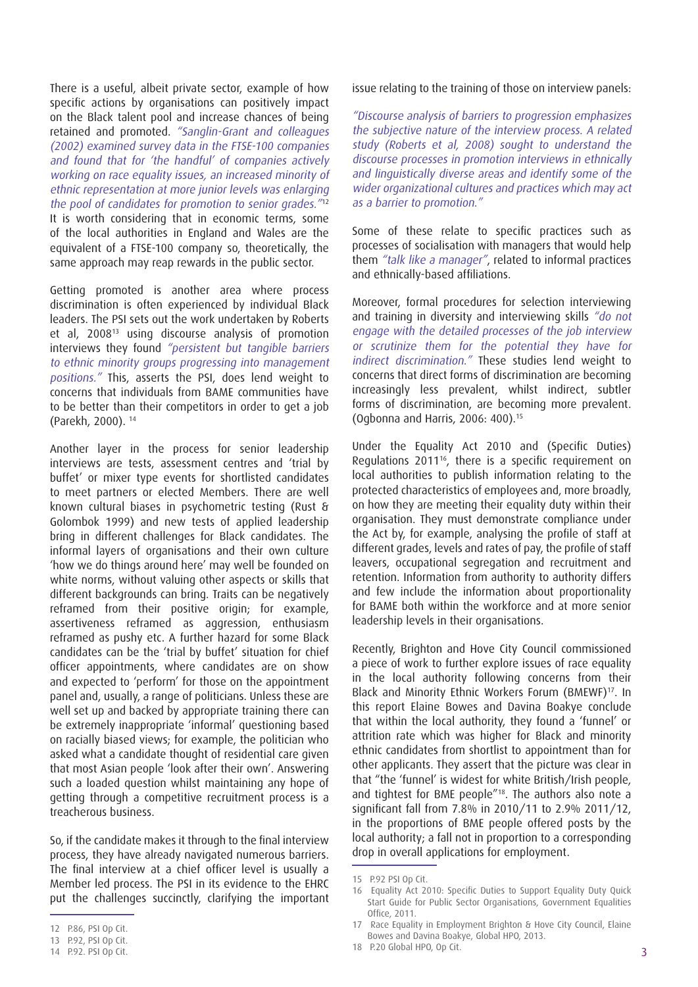There is a useful, albeit private sector, example of how specific actions by organisations can positively impact on the Black talent pool and increase chances of being retained and promoted. "Sanglin-Grant and colleagues (2002) examined survey data in the FTSE-100 companies and found that for 'the handful' of companies actively working on race equality issues, an increased minority of ethnic representation at more junior levels was enlarging the pool of candidates for promotion to senior grades.<sup>"12</sup> It is worth considering that in economic terms, some of the local authorities in England and Wales are the equivalent of a FTSE-100 company so, theoretically, the same approach may reap rewards in the public sector.

Getting promoted is another area where process discrimination is often experienced by individual Black leaders. The PSI sets out the work undertaken by Roberts et al, 200813 using discourse analysis of promotion interviews they found "persistent but tangible barriers to ethnic minority groups progressing into management positions." This, asserts the PSI, does lend weight to concerns that individuals from BAME communities have to be better than their competitors in order to get a job (Parekh, 2000). 14

Another layer in the process for senior leadership interviews are tests, assessment centres and 'trial by buffet' or mixer type events for shortlisted candidates to meet partners or elected Members. There are well known cultural biases in psychometric testing (Rust & Golombok 1999) and new tests of applied leadership bring in different challenges for Black candidates. The informal layers of organisations and their own culture 'how we do things around here' may well be founded on white norms, without valuing other aspects or skills that different backgrounds can bring. Traits can be negatively reframed from their positive origin; for example, assertiveness reframed as aggression, enthusiasm reframed as pushy etc. A further hazard for some Black candidates can be the 'trial by buffet' situation for chief officer appointments, where candidates are on show and expected to 'perform' for those on the appointment panel and, usually, a range of politicians. Unless these are well set up and backed by appropriate training there can be extremely inappropriate 'informal' questioning based on racially biased views; for example, the politician who asked what a candidate thought of residential care given that most Asian people 'look after their own'. Answering such a loaded question whilst maintaining any hope of getting through a competitive recruitment process is a treacherous business.

So, if the candidate makes it through to the final interview process, they have already navigated numerous barriers. The final interview at a chief officer level is usually a Member led process. The PSI in its evidence to the EHRC put the challenges succinctly, clarifying the important issue relating to the training of those on interview panels:

"Discourse analysis of barriers to progression emphasizes the subjective nature of the interview process. A related study (Roberts et al, 2008) sought to understand the discourse processes in promotion interviews in ethnically and linguistically diverse areas and identify some of the wider organizational cultures and practices which may act as a barrier to promotion."

Some of these relate to specific practices such as processes of socialisation with managers that would help them "talk like a manager", related to informal practices and ethnically-based affiliations.

Moreover, formal procedures for selection interviewing and training in diversity and interviewing skills "do not engage with the detailed processes of the job interview or scrutinize them for the potential they have for indirect discrimination." These studies lend weight to concerns that direct forms of discrimination are becoming increasingly less prevalent, whilst indirect, subtler forms of discrimination, are becoming more prevalent. (Ogbonna and Harris, 2006: 400).15

Under the Equality Act 2010 and (Specific Duties) Regulations 201116, there is a specific requirement on local authorities to publish information relating to the protected characteristics of employees and, more broadly, on how they are meeting their equality duty within their organisation. They must demonstrate compliance under the Act by, for example, analysing the profile of staff at different grades, levels and rates of pay, the profile of staff leavers, occupational segregation and recruitment and retention. Information from authority to authority differs and few include the information about proportionality for BAME both within the workforce and at more senior leadership levels in their organisations.

Recently, Brighton and Hove City Council commissioned a piece of work to further explore issues of race equality in the local authority following concerns from their Black and Minority Ethnic Workers Forum (BMEWF)17. In this report Elaine Bowes and Davina Boakye conclude that within the local authority, they found a 'funnel' or attrition rate which was higher for Black and minority ethnic candidates from shortlist to appointment than for other applicants. They assert that the picture was clear in that "the 'funnel' is widest for white British/Irish people, and tightest for BME people"<sup>18</sup>. The authors also note a significant fall from 7.8% in 2010/11 to 2.9% 2011/12, in the proportions of BME people offered posts by the local authority; a fall not in proportion to a corresponding drop in overall applications for employment.

<sup>12</sup> P.86, PSI Op Cit.

<sup>13</sup> P.92, PSI Op Cit.

<sup>14</sup> P.92. PSI Op Cit.

<sup>15</sup> P.92 PSI Op Cit.

<sup>16</sup> Equality Act 2010: Specific Duties to Support Equality Duty Quick Start Guide for Public Sector Organisations, Government Equalities Office, 2011.

<sup>17</sup> Race Equality in Employment Brighton & Hove City Council, Elaine Bowes and Davina Boakye, Global HPO, 2013.

<sup>18</sup> P.20 Global HPO, Op Cit.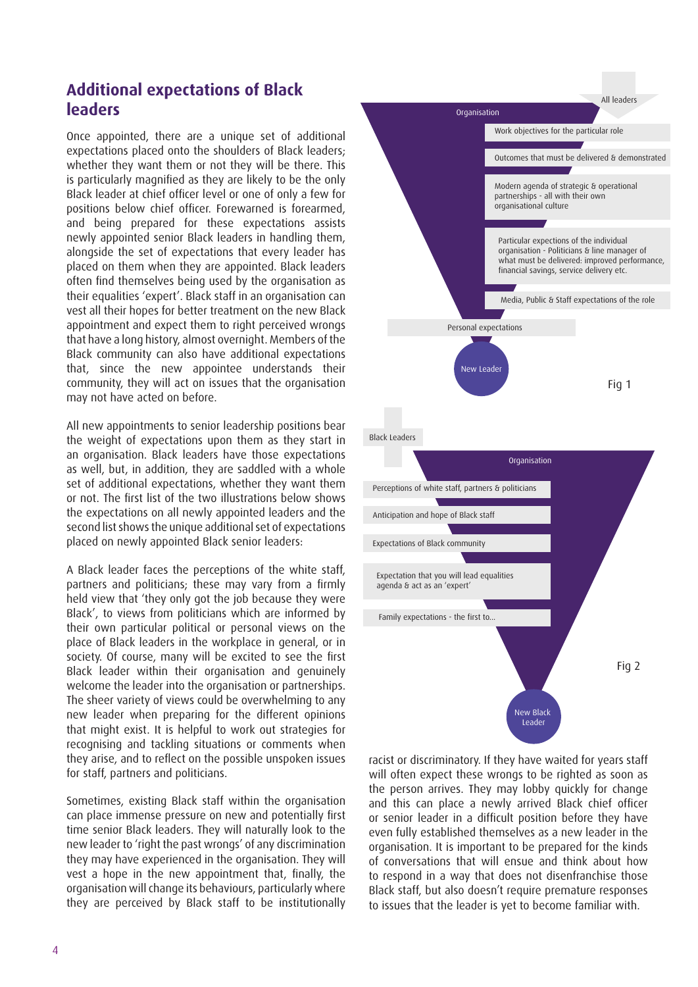### **Additional expectations of Black leaders**

Once appointed, there are a unique set of additional expectations placed onto the shoulders of Black leaders; whether they want them or not they will be there. This is particularly magnified as they are likely to be the only Black leader at chief officer level or one of only a few for positions below chief officer. Forewarned is forearmed, and being prepared for these expectations assists newly appointed senior Black leaders in handling them, alongside the set of expectations that every leader has placed on them when they are appointed. Black leaders often find themselves being used by the organisation as their equalities 'expert'. Black staff in an organisation can vest all their hopes for better treatment on the new Black appointment and expect them to right perceived wrongs that have a long history, almost overnight. Members of the Black community can also have additional expectations that, since the new appointee understands their community, they will act on issues that the organisation may not have acted on before.

All new appointments to senior leadership positions bear the weight of expectations upon them as they start in an organisation. Black leaders have those expectations as well, but, in addition, they are saddled with a whole set of additional expectations, whether they want them or not. The first list of the two illustrations below shows the expectations on all newly appointed leaders and the second list shows the unique additional set of expectations placed on newly appointed Black senior leaders:

A Black leader faces the perceptions of the white staff, partners and politicians; these may vary from a firmly held view that 'they only got the job because they were Black', to views from politicians which are informed by their own particular political or personal views on the place of Black leaders in the workplace in general, or in society. Of course, many will be excited to see the first Black leader within their organisation and genuinely welcome the leader into the organisation or partnerships. The sheer variety of views could be overwhelming to any new leader when preparing for the different opinions that might exist. It is helpful to work out strategies for recognising and tackling situations or comments when they arise, and to reflect on the possible unspoken issues for staff, partners and politicians.

Sometimes, existing Black staff within the organisation can place immense pressure on new and potentially first time senior Black leaders. They will naturally look to the new leader to 'right the past wrongs' of any discrimination they may have experienced in the organisation. They will vest a hope in the new appointment that, finally, the organisation will change its behaviours, particularly where they are perceived by Black staff to be institutionally



racist or discriminatory. If they have waited for years staff will often expect these wrongs to be righted as soon as the person arrives. They may lobby quickly for change and this can place a newly arrived Black chief officer or senior leader in a difficult position before they have even fully established themselves as a new leader in the organisation. It is important to be prepared for the kinds of conversations that will ensue and think about how to respond in a way that does not disenfranchise those Black staff, but also doesn't require premature responses to issues that the leader is yet to become familiar with.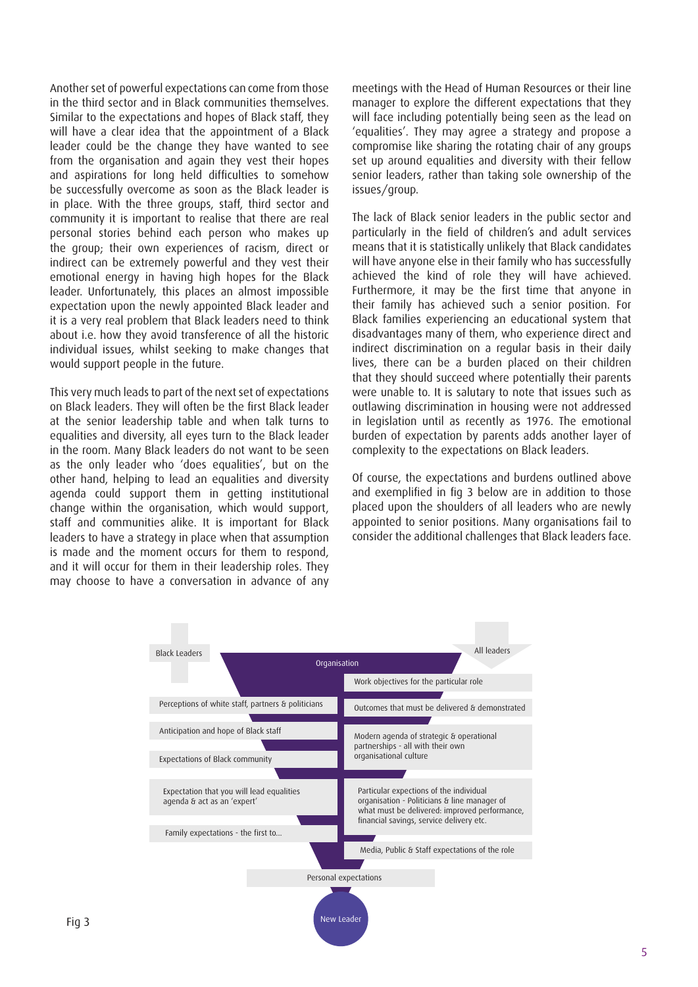Another set of powerful expectations can come from those in the third sector and in Black communities themselves. Similar to the expectations and hopes of Black staff, they will have a clear idea that the appointment of a Black leader could be the change they have wanted to see from the organisation and again they vest their hopes and aspirations for long held difficulties to somehow be successfully overcome as soon as the Black leader is in place. With the three groups, staff, third sector and community it is important to realise that there are real personal stories behind each person who makes up the group; their own experiences of racism, direct or indirect can be extremely powerful and they vest their emotional energy in having high hopes for the Black leader. Unfortunately, this places an almost impossible expectation upon the newly appointed Black leader and it is a very real problem that Black leaders need to think about i.e. how they avoid transference of all the historic individual issues, whilst seeking to make changes that would support people in the future.

This very much leads to part of the next set of expectations on Black leaders. They will often be the first Black leader at the senior leadership table and when talk turns to equalities and diversity, all eyes turn to the Black leader in the room. Many Black leaders do not want to be seen as the only leader who 'does equalities', but on the other hand, helping to lead an equalities and diversity agenda could support them in getting institutional change within the organisation, which would support, staff and communities alike. It is important for Black leaders to have a strategy in place when that assumption is made and the moment occurs for them to respond, and it will occur for them in their leadership roles. They may choose to have a conversation in advance of any

meetings with the Head of Human Resources or their line manager to explore the different expectations that they will face including potentially being seen as the lead on 'equalities'. They may agree a strategy and propose a compromise like sharing the rotating chair of any groups set up around equalities and diversity with their fellow senior leaders, rather than taking sole ownership of the issues/group.

The lack of Black senior leaders in the public sector and particularly in the field of children's and adult services means that it is statistically unlikely that Black candidates will have anyone else in their family who has successfully achieved the kind of role they will have achieved. Furthermore, it may be the first time that anyone in their family has achieved such a senior position. For Black families experiencing an educational system that disadvantages many of them, who experience direct and indirect discrimination on a regular basis in their daily lives, there can be a burden placed on their children that they should succeed where potentially their parents were unable to. It is salutary to note that issues such as outlawing discrimination in housing were not addressed in legislation until as recently as 1976. The emotional burden of expectation by parents adds another layer of complexity to the expectations on Black leaders.

Of course, the expectations and burdens outlined above and exemplified in fig 3 below are in addition to those placed upon the shoulders of all leaders who are newly appointed to senior positions. Many organisations fail to consider the additional challenges that Black leaders face.

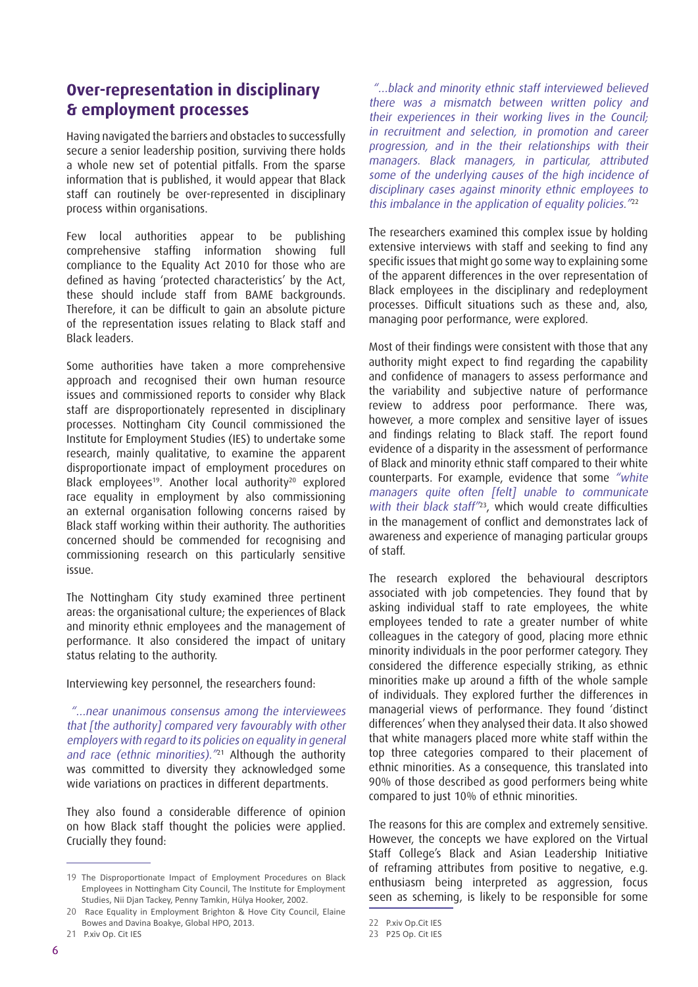### **Over-representation in disciplinary & employment processes**

Having navigated the barriers and obstacles to successfully secure a senior leadership position, surviving there holds a whole new set of potential pitfalls. From the sparse information that is published, it would appear that Black staff can routinely be over-represented in disciplinary process within organisations.

Few local authorities appear to be publishing comprehensive staffing information showing full compliance to the Equality Act 2010 for those who are defined as having 'protected characteristics' by the Act, these should include staff from BAME backgrounds. Therefore, it can be difficult to gain an absolute picture of the representation issues relating to Black staff and Black leaders.

Some authorities have taken a more comprehensive approach and recognised their own human resource issues and commissioned reports to consider why Black staff are disproportionately represented in disciplinary processes. Nottingham City Council commissioned the Institute for Employment Studies (IES) to undertake some research, mainly qualitative, to examine the apparent disproportionate impact of employment procedures on Black employees<sup>19</sup>. Another local authority<sup>20</sup> explored race equality in employment by also commissioning an external organisation following concerns raised by Black staff working within their authority. The authorities concerned should be commended for recognising and commissioning research on this particularly sensitive issue.

The Nottingham City study examined three pertinent areas: the organisational culture; the experiences of Black and minority ethnic employees and the management of performance. It also considered the impact of unitary status relating to the authority.

Interviewing key personnel, the researchers found:

 "…near unanimous consensus among the interviewees that [the authority] compared very favourably with other employers with regard to its policies on equality in general and race (ethnic minorities).<sup>"21</sup> Although the authority was committed to diversity they acknowledged some wide variations on practices in different departments.

They also found a considerable difference of opinion on how Black staff thought the policies were applied. Crucially they found:

21 P.xiv Op. Cit IES

"…black and minority ethnic staff interviewed believed there was a mismatch between written policy and their experiences in their working lives in the Council; in recruitment and selection, in promotion and career progression, and in the their relationships with their managers. Black managers, in particular, attributed some of the underlying causes of the high incidence of disciplinary cases against minority ethnic employees to this imbalance in the application of equality policies.<sup> $22$ </sup>

The researchers examined this complex issue by holding extensive interviews with staff and seeking to find any specific issues that might go some way to explaining some of the apparent differences in the over representation of Black employees in the disciplinary and redeployment processes. Difficult situations such as these and, also, managing poor performance, were explored.

Most of their findings were consistent with those that any authority might expect to find regarding the capability and confidence of managers to assess performance and the variability and subjective nature of performance review to address poor performance. There was, however, a more complex and sensitive layer of issues and findings relating to Black staff. The report found evidence of a disparity in the assessment of performance of Black and minority ethnic staff compared to their white counterparts. For example, evidence that some "white managers quite often [felt] unable to communicate with their black staff<sup>"23</sup>, which would create difficulties in the management of conflict and demonstrates lack of awareness and experience of managing particular groups of staff.

The research explored the behavioural descriptors associated with job competencies. They found that by asking individual staff to rate employees, the white employees tended to rate a greater number of white colleagues in the category of good, placing more ethnic minority individuals in the poor performer category. They considered the difference especially striking, as ethnic minorities make up around a fifth of the whole sample of individuals. They explored further the differences in managerial views of performance. They found 'distinct differences' when they analysed their data. It also showed that white managers placed more white staff within the top three categories compared to their placement of ethnic minorities. As a consequence, this translated into 90% of those described as good performers being white compared to just 10% of ethnic minorities.

The reasons for this are complex and extremely sensitive. However, the concepts we have explored on the Virtual Staff College's Black and Asian Leadership Initiative of reframing attributes from positive to negative, e.g. enthusiasm being interpreted as aggression, focus seen as scheming, is likely to be responsible for some

<sup>19</sup> The Disproportionate Impact of Employment Procedures on Black Employees in Nottingham City Council, The Institute for Employment Studies, Nii Djan Tackey, Penny Tamkin, Hülya Hooker, 2002.

<sup>20</sup> Race Equality in Employment Brighton & Hove City Council, Elaine Bowes and Davina Boakye, Global HPO, 2013.

<sup>22</sup> P.xiv Op.Cit IES

<sup>23</sup> P25 Op. Cit IES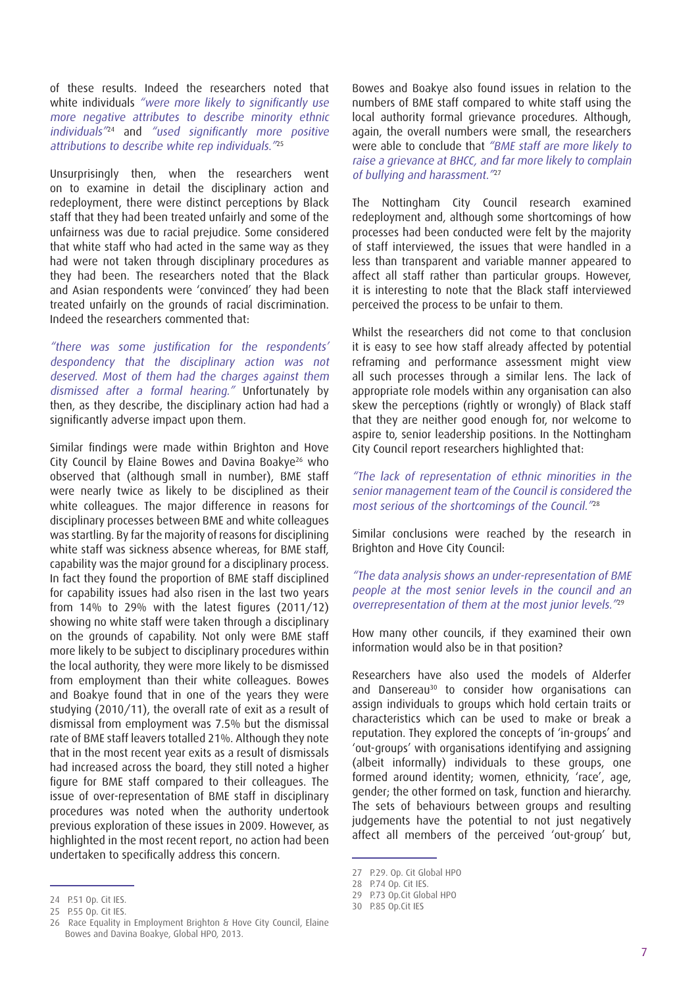of these results. Indeed the researchers noted that white individuals "were more likely to significantly use more negative attributes to describe minority ethnic individuals"24 and "used significantly more positive attributions to describe white rep individuals.<sup>"25</sup>

Unsurprisingly then, when the researchers went on to examine in detail the disciplinary action and redeployment, there were distinct perceptions by Black staff that they had been treated unfairly and some of the unfairness was due to racial prejudice. Some considered that white staff who had acted in the same way as they had were not taken through disciplinary procedures as they had been. The researchers noted that the Black and Asian respondents were 'convinced' they had been treated unfairly on the grounds of racial discrimination. Indeed the researchers commented that:

"there was some justification for the respondents' despondency that the disciplinary action was not deserved. Most of them had the charges against them dismissed after a formal hearing." Unfortunately by then, as they describe, the disciplinary action had had a significantly adverse impact upon them.

Similar findings were made within Brighton and Hove City Council by Elaine Bowes and Davina Boakye<sup>26</sup> who observed that (although small in number), BME staff were nearly twice as likely to be disciplined as their white colleagues. The major difference in reasons for disciplinary processes between BME and white colleagues was startling. By far the majority of reasons for disciplining white staff was sickness absence whereas, for BME staff, capability was the major ground for a disciplinary process. In fact they found the proportion of BME staff disciplined for capability issues had also risen in the last two years from 14% to 29% with the latest figures (2011/12) showing no white staff were taken through a disciplinary on the grounds of capability. Not only were BME staff more likely to be subject to disciplinary procedures within the local authority, they were more likely to be dismissed from employment than their white colleagues. Bowes and Boakye found that in one of the years they were studying (2010/11), the overall rate of exit as a result of dismissal from employment was 7.5% but the dismissal rate of BME staff leavers totalled 21%. Although they note that in the most recent year exits as a result of dismissals had increased across the board, they still noted a higher figure for BME staff compared to their colleagues. The issue of over-representation of BME staff in disciplinary procedures was noted when the authority undertook previous exploration of these issues in 2009. However, as highlighted in the most recent report, no action had been undertaken to specifically address this concern.

Bowes and Boakye also found issues in relation to the numbers of BME staff compared to white staff using the local authority formal grievance procedures. Although, again, the overall numbers were small, the researchers were able to conclude that "BME staff are more likely to raise a grievance at BHCC, and far more likely to complain of bullying and harassment."<sup>27</sup>

The Nottingham City Council research examined redeployment and, although some shortcomings of how processes had been conducted were felt by the majority of staff interviewed, the issues that were handled in a less than transparent and variable manner appeared to affect all staff rather than particular groups. However, it is interesting to note that the Black staff interviewed perceived the process to be unfair to them.

Whilst the researchers did not come to that conclusion it is easy to see how staff already affected by potential reframing and performance assessment might view all such processes through a similar lens. The lack of appropriate role models within any organisation can also skew the perceptions (rightly or wrongly) of Black staff that they are neither good enough for, nor welcome to aspire to, senior leadership positions. In the Nottingham City Council report researchers highlighted that:

"The lack of representation of ethnic minorities in the senior management team of the Council is considered the most serious of the shortcomings of the Council."<sup>28</sup>

Similar conclusions were reached by the research in Brighton and Hove City Council:

"The data analysis shows an under-representation of BME people at the most senior levels in the council and an overrepresentation of them at the most junior levels.<sup>"29</sup>

How many other councils, if they examined their own information would also be in that position?

Researchers have also used the models of Alderfer and Dansereau<sup>30</sup> to consider how organisations can assign individuals to groups which hold certain traits or characteristics which can be used to make or break a reputation. They explored the concepts of 'in-groups' and 'out-groups' with organisations identifying and assigning (albeit informally) individuals to these groups, one formed around identity; women, ethnicity, 'race', age, gender; the other formed on task, function and hierarchy. The sets of behaviours between groups and resulting judgements have the potential to not just negatively affect all members of the perceived 'out-group' but,

<sup>27</sup> P.29. Op. Cit Global HPO

<sup>28</sup> P.74 Op. Cit IES.

<sup>29</sup> P.73 Op.Cit Global HPO

<sup>30</sup> P.85 Op.Cit IES

<sup>24</sup> P.51 Op. Cit IES.

<sup>25</sup> P.55 Op. Cit IES.

<sup>26</sup> Race Equality in Employment Brighton & Hove City Council, Elaine Bowes and Davina Boakye, Global HPO, 2013.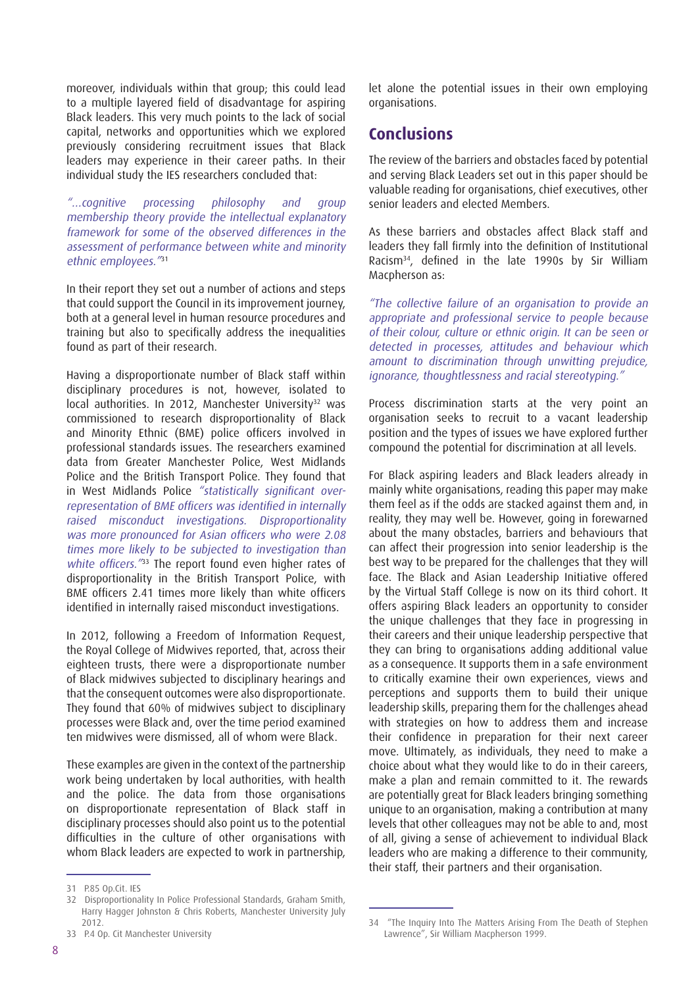moreover, individuals within that group; this could lead to a multiple layered field of disadvantage for aspiring Black leaders. This very much points to the lack of social capital, networks and opportunities which we explored previously considering recruitment issues that Black leaders may experience in their career paths. In their individual study the IES researchers concluded that:

"…cognitive processing philosophy and group membership theory provide the intellectual explanatory framework for some of the observed differences in the assessment of performance between white and minority ethnic employees."<sup>31</sup>

In their report they set out a number of actions and steps that could support the Council in its improvement journey, both at a general level in human resource procedures and training but also to specifically address the inequalities found as part of their research.

Having a disproportionate number of Black staff within disciplinary procedures is not, however, isolated to local authorities. In 2012, Manchester University<sup>32</sup> was commissioned to research disproportionality of Black and Minority Ethnic (BME) police officers involved in professional standards issues. The researchers examined data from Greater Manchester Police, West Midlands Police and the British Transport Police. They found that in West Midlands Police "statistically significant overrepresentation of BME officers was identified in internally raised misconduct investigations. Disproportionality was more pronounced for Asian officers who were 2.08 times more likely to be subjected to investigation than white officers.<sup>"33</sup> The report found even higher rates of disproportionality in the British Transport Police, with BME officers 2.41 times more likely than white officers identified in internally raised misconduct investigations.

In 2012, following a Freedom of Information Request, the Royal College of Midwives reported, that, across their eighteen trusts, there were a disproportionate number of Black midwives subjected to disciplinary hearings and that the consequent outcomes were also disproportionate. They found that 60% of midwives subject to disciplinary processes were Black and, over the time period examined ten midwives were dismissed, all of whom were Black.

These examples are given in the context of the partnership work being undertaken by local authorities, with health and the police. The data from those organisations on disproportionate representation of Black staff in disciplinary processes should also point us to the potential difficulties in the culture of other organisations with whom Black leaders are expected to work in partnership,

33 P.4 Op. Cit Manchester University

let alone the potential issues in their own employing organisations.

#### **Conclusions**

The review of the barriers and obstacles faced by potential and serving Black Leaders set out in this paper should be valuable reading for organisations, chief executives, other senior leaders and elected Members.

As these barriers and obstacles affect Black staff and leaders they fall firmly into the definition of Institutional Racism<sup>34</sup>, defined in the late 1990s by Sir William Macpherson as:

"The collective failure of an organisation to provide an appropriate and professional service to people because of their colour, culture or ethnic origin. It can be seen or detected in processes, attitudes and behaviour which amount to discrimination through unwitting prejudice, ignorance, thoughtlessness and racial stereotyping."

Process discrimination starts at the very point an organisation seeks to recruit to a vacant leadership position and the types of issues we have explored further compound the potential for discrimination at all levels.

For Black aspiring leaders and Black leaders already in mainly white organisations, reading this paper may make them feel as if the odds are stacked against them and, in reality, they may well be. However, going in forewarned about the many obstacles, barriers and behaviours that can affect their progression into senior leadership is the best way to be prepared for the challenges that they will face. The Black and Asian Leadership Initiative offered by the Virtual Staff College is now on its third cohort. It offers aspiring Black leaders an opportunity to consider the unique challenges that they face in progressing in their careers and their unique leadership perspective that they can bring to organisations adding additional value as a consequence. It supports them in a safe environment to critically examine their own experiences, views and perceptions and supports them to build their unique leadership skills, preparing them for the challenges ahead with strategies on how to address them and increase their confidence in preparation for their next career move. Ultimately, as individuals, they need to make a choice about what they would like to do in their careers, make a plan and remain committed to it. The rewards are potentially great for Black leaders bringing something unique to an organisation, making a contribution at many levels that other colleagues may not be able to and, most of all, giving a sense of achievement to individual Black leaders who are making a difference to their community, their staff, their partners and their organisation.

<sup>31</sup> P.85 Op.Cit. IES

<sup>32</sup> Disproportionality In Police Professional Standards, Graham Smith, Harry Hagger Johnston & Chris Roberts, Manchester University July 2012.

<sup>34 &</sup>quot;The Inquiry Into The Matters Arising From The Death of Stephen Lawrence", Sir William Macpherson 1999.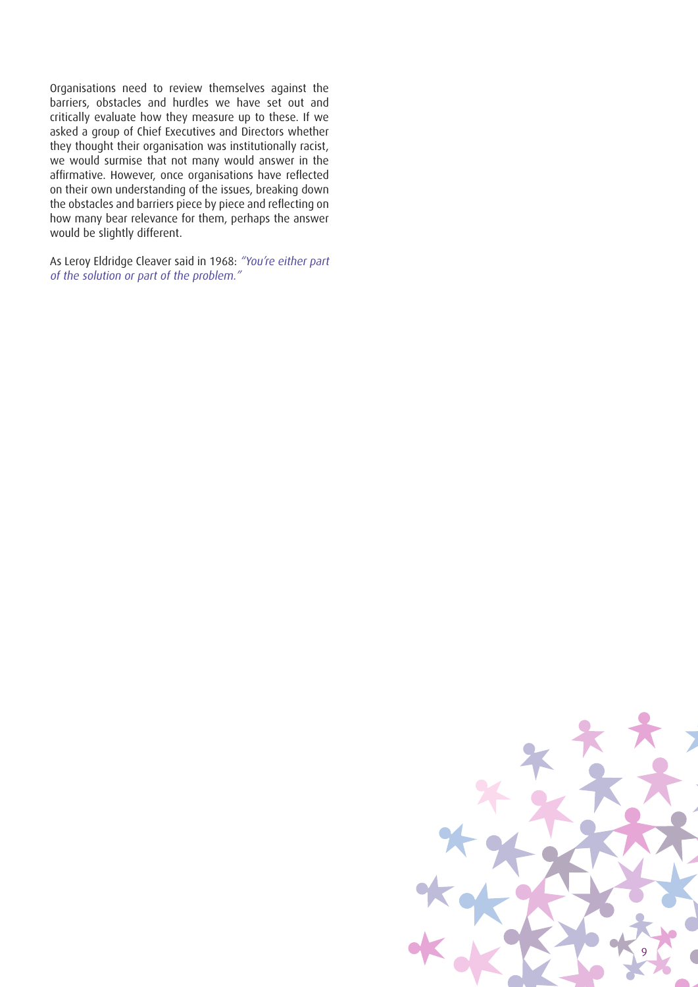Organisations need to review themselves against the barriers, obstacles and hurdles we have set out and critically evaluate how they measure up to these. If we asked a group of Chief Executives and Directors whether they thought their organisation was institutionally racist, we would surmise that not many would answer in the affirmative. However, once organisations have reflected on their own understanding of the issues, breaking down the obstacles and barriers piece by piece and reflecting on how many bear relevance for them, perhaps the answer would be slightly different.

As Leroy Eldridge Cleaver said in 1968: "You're either part of the solution or part of the problem."